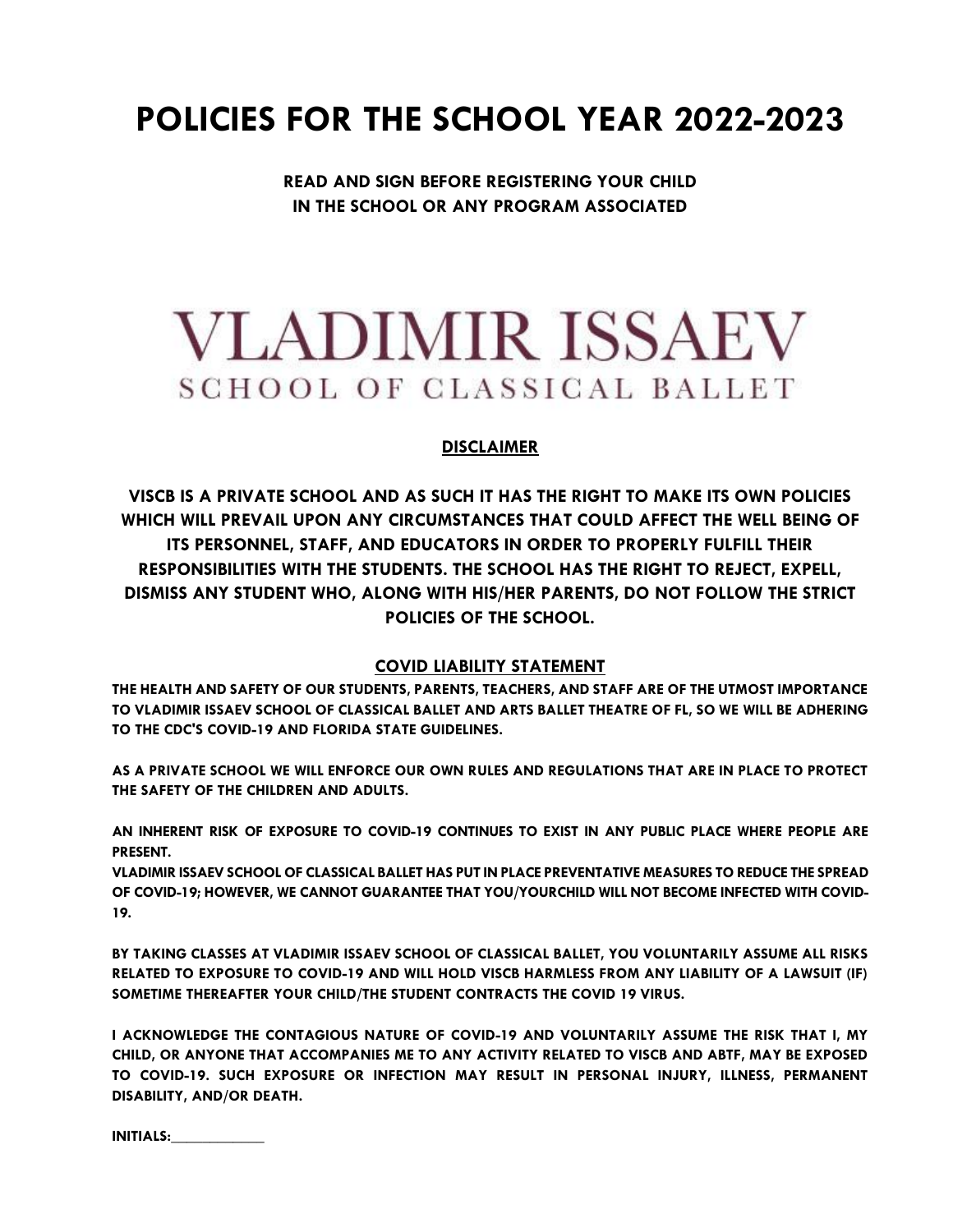# **POLICIES FOR THE SCHOOL YEAR 2022-2023**

**READ AND SIGN BEFORE REGISTERING YOUR CHILD IN THE SCHOOL OR ANY PROGRAM ASSOCIATED**

# **VLADIMIR ISSAEV** SCHOOL OF CLASSICAL BALLET

# **DISCLAIMER**

**VISCB IS A PRIVATE SCHOOL AND AS SUCH IT HAS THE RIGHT TO MAKE ITS OWN POLICIES WHICH WILL PREVAIL UPON ANY CIRCUMSTANCES THAT COULD AFFECT THE WELL BEING OF ITS PERSONNEL, STAFF, AND EDUCATORS IN ORDER TO PROPERLY FULFILL THEIR RESPONSIBILITIES WITH THE STUDENTS. THE SCHOOL HAS THE RIGHT TO REJECT, EXPELL, DISMISS ANY STUDENT WHO, ALONG WITH HIS/HER PARENTS, DO NOT FOLLOW THE STRICT POLICIES OF THE SCHOOL.**

# **COVID LIABILITY STATEMENT**

**THE HEALTH AND SAFETY OF OUR STUDENTS, PARENTS, TEACHERS, AND STAFF ARE OF THE UTMOST IMPORTANCE TO VLADIMIR ISSAEV SCHOOL OF CLASSICAL BALLET AND ARTS BALLET THEATRE OF FL, SO WE WILL BE ADHERING TO THE CDC'S COVID-19 AND FLORIDA STATE GUIDELINES.**

**AS A PRIVATE SCHOOL WE WILL ENFORCE OUR OWN RULES AND REGULATIONS THAT ARE IN PLACE TO PROTECT THE SAFETY OF THE CHILDREN AND ADULTS.**

**AN INHERENT RISK OF EXPOSURE TO COVID-19 CONTINUES TO EXIST IN ANY PUBLIC PLACE WHERE PEOPLE ARE PRESENT.**

**VLADIMIR ISSAEV SCHOOL OF CLASSICAL BALLET HAS PUT IN PLACE PREVENTATIVE MEASURES TO REDUCE THE SPREAD OF COVID-19; HOWEVER, WE CANNOT GUARANTEE THAT YOU/YOURCHILD WILL NOT BECOME INFECTED WITH COVID-19.**

**BY TAKING CLASSES AT VLADIMIR ISSAEV SCHOOL OF CLASSICAL BALLET, YOU VOLUNTARILY ASSUME ALL RISKS RELATED TO EXPOSURE TO COVID-19 AND WILL HOLD VISCB HARMLESS FROM ANY LIABILITY OF A LAWSUIT (IF) SOMETIME THEREAFTER YOUR CHILD/THE STUDENT CONTRACTS THE COVID 19 VIRUS.**

**I ACKNOWLEDGE THE CONTAGIOUS NATURE OF COVID-19 AND VOLUNTARILY ASSUME THE RISK THAT I, MY CHILD, OR ANYONE THAT ACCOMPANIES ME TO ANY ACTIVITY RELATED TO VISCB AND ABTF, MAY BE EXPOSED TO COVID-19. SUCH EXPOSURE OR INFECTION MAY RESULT IN PERSONAL INJURY, ILLNESS, PERMANENT DISABILITY, AND/OR DEATH.**

**INITIALS:\_\_\_\_\_\_\_\_\_\_\_\_**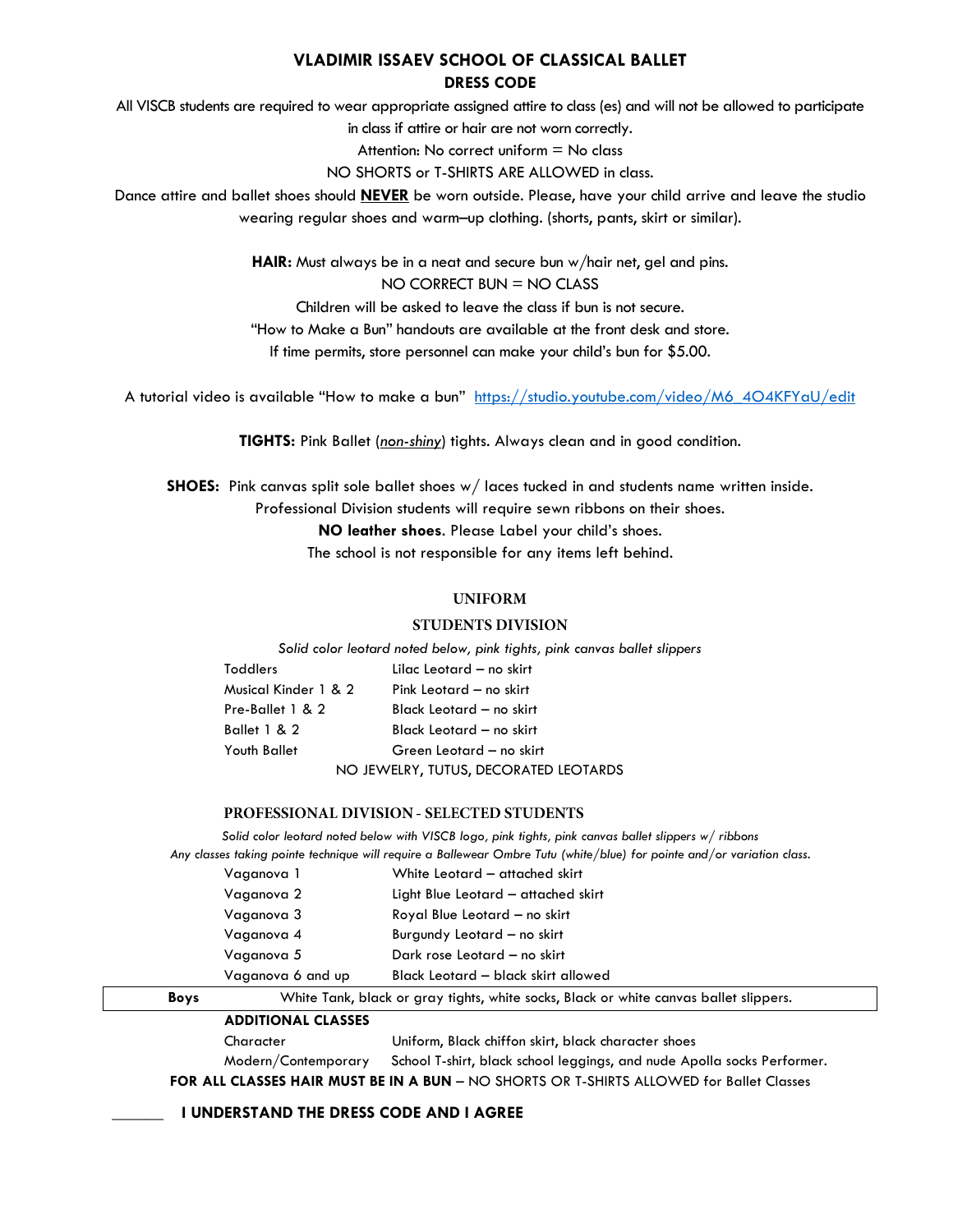# **VLADIMIR ISSAEV SCHOOL OF CLASSICAL BALLET DRESS CODE**

All VISCB students are required to wear appropriate assigned attire to class (es) and will not be allowed to participate

in class if attire or hair are not worn correctly.

Attention: No correct uniform = No class

NO SHORTS or T-SHIRTS ARE ALLOWED in class.

Dance attire and ballet shoes should **NEVER** be worn outside. Please, have your child arrive and leave the studio wearing regular shoes and warm–up clothing. (shorts, pants, skirt or similar).

**HAIR:** Must always be in a neat and secure bun w/hair net, gel and pins.

 $NO$  CORRECT BUN = NO CLASS

Children will be asked to leave the class if bun is not secure.

"How to Make a Bun" handouts are available at the front desk and store.

If time permits, store personnel can make your child's bun for \$5.00.

A tutorial video is available "How to make a bun" [https://studio.youtube.com/video/M6\\_4O4KFYaU/edit](https://studio.youtube.com/video/M6_4O4KFYaU/edit)

**TIGHTS:** Pink Ballet (*non-shiny*) tights. Always clean and in good condition.

**SHOES:** Pink canvas split sole ballet shoes w/ laces tucked in and students name written inside.

Professional Division students will require sewn ribbons on their shoes.

**NO leather shoes**. Please Label your child's shoes.

The school is not responsible for any items left behind.

# **UNIFORM**

# **STUDENTS DIVISION**

*Solid color leotard noted below, pink tights, pink canvas ballet slippers* 

| Toddlers             | Lilac Leotard - no skirt              |  |
|----------------------|---------------------------------------|--|
| Musical Kinder 1 & 2 | Pink Leotard - no skirt               |  |
| Pre-Ballet 1 & 2     | Black Leotard — no skirt              |  |
| Ballet 1 & 2         | Black Leotard - no skirt              |  |
| Youth Ballet         | Green Leotard - no skirt              |  |
|                      | NO JEWELRY, TUTUS, DECORATED LEOTARDS |  |

# PROFESSIONAL DIVISION - SELECTED STUDENTS

*Solid color leotard noted below with VISCB logo, pink tights, pink canvas ballet slippers w/ ribbons Any classes taking pointe technique will require a Ballewear Ombre Tutu (white/blue) for pointe and/or variation class.*

| Boys |                   | White Tank, black or gray tights, white socks, Black or white canvas ballet slippers. |  |
|------|-------------------|---------------------------------------------------------------------------------------|--|
|      | Vaganova 6 and up | Black Leotard - black skirt allowed                                                   |  |
|      | Vaganova 5        | Dark rose Leotard - no skirt                                                          |  |
|      | Vaganova 4        | Burgundy Leotard - no skirt                                                           |  |
|      | Vaganova 3        | Royal Blue Leotard - no skirt                                                         |  |
|      | Vaganova 2        | Light Blue Leotard - attached skirt                                                   |  |
|      | Vaganova 1        | White Leotard - attached skirt                                                        |  |
|      |                   |                                                                                       |  |

|--|

| Character | Uniform, Black chiffon skirt, black character shoes                                         |
|-----------|---------------------------------------------------------------------------------------------|
|           | Modern/Contemporary School T-shirt, black school leggings, and nude Apolla socks Performer. |
|           | ALL CLACCEC LIAID MILICT DE INLA DIINI AIO CLIONTC ON T-CLIINTC ALLONAED for Relief Clerica |

**FOR ALL CLASSES HAIR MUST BE IN A BUN** – NO SHORTS OR T-SHIRTS ALLOWED for Ballet Classes

**LUNDERSTAND THE DRESS CODE AND I AGREE**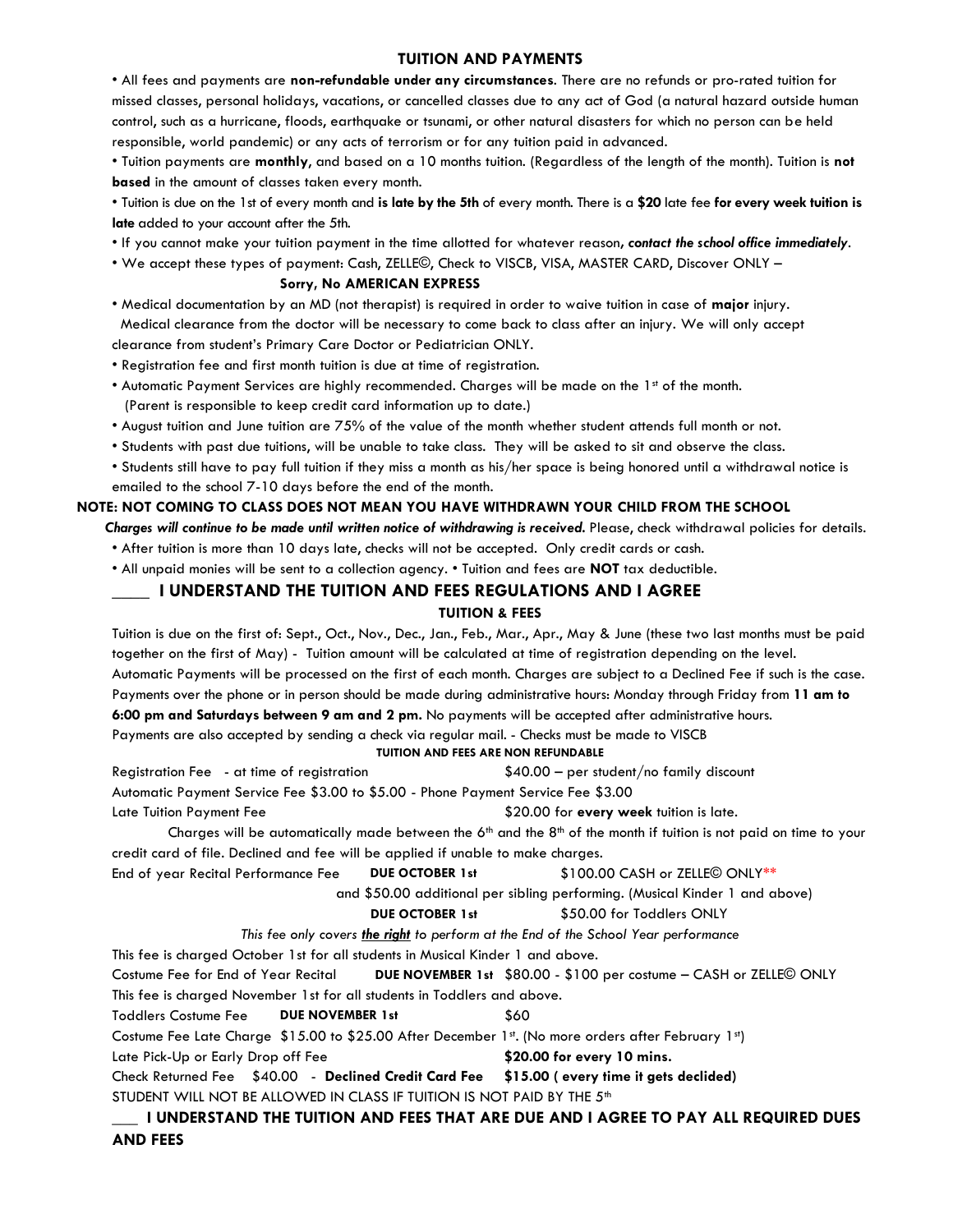# **TUITION AND PAYMENTS**

• All fees and payments are **non-refundable under any circumstances**. There are no refunds or pro-rated tuition for missed classes, personal holidays, vacations, or cancelled classes due to any act of God (a natural hazard outside human control, such as a hurricane, floods, earthquake or tsunami, or other natural disasters for which no person can be held responsible, world pandemic) or any acts of terrorism or for any tuition paid in advanced.

• Tuition payments are **monthly**, and based on a 10 months tuition. (Regardless of the length of the month). Tuition is **not based** in the amount of classes taken every month.

• Tuition is due on the 1st of every month and **is late by the 5th** of every month. There is a **\$20** late fee **for every week tuition is late** added to your account after the 5th.

- If you cannot make your tuition payment in the time allotted for whatever reason*, contact the school office immediately*.
- We accept these types of payment: Cash, ZELLE©, Check to VISCB, VISA, MASTER CARD, Discover ONLY –

#### **Sorry, No AMERICAN EXPRESS**

• Medical documentation by an MD (not therapist) is required in order to waive tuition in case of **major** injury. Medical clearance from the doctor will be necessary to come back to class after an injury. We will only accept

clearance from student's Primary Care Doctor or Pediatrician ONLY.

- Registration fee and first month tuition is due at time of registration.
- Automatic Payment Services are highly recommended. Charges will be made on the 1st of the month. (Parent is responsible to keep credit card information up to date.)
- August tuition and June tuition are 75% of the value of the month whether student attends full month or not.
- Students with past due tuitions, will be unable to take class. They will be asked to sit and observe the class.
- Students still have to pay full tuition if they miss a month as his/her space is being honored until a withdrawal notice is emailed to the school 7-10 days before the end of the month.

#### **NOTE: NOT COMING TO CLASS DOES NOT MEAN YOU HAVE WITHDRAWN YOUR CHILD FROM THE SCHOOL**

*Charges will continue to be made until written notice of withdrawing is received.* Please, check withdrawal policies for details.

• After tuition is more than 10 days late, checks will not be accepted. Only credit cards or cash.

• All unpaid monies will be sent to a collection agency. • Tuition and fees are **NOT** tax deductible.

# **\_\_\_\_ I UNDERSTAND THE TUITION AND FEES REGULATIONS AND I AGREE**

#### **TUITION & FEES**

Tuition is due on the first of: Sept., Oct., Nov., Dec., Jan., Feb., Mar., Apr., May & June (these two last months must be paid together on the first of May) - Tuition amount will be calculated at time of registration depending on the level. Automatic Payments will be processed on the first of each month. Charges are subject to a Declined Fee if such is the case. Payments over the phone or in person should be made during administrative hours: Monday through Friday from **11 am to 6:00 pm and Saturdays between 9 am and 2 pm.** No payments will be accepted after administrative hours. Payments are also accepted by sending a check via regular mail. - Checks must be made to VISCB

#### **TUITION AND FEES ARE NON REFUNDABLE**

Registration Fee - at time of registration \$40.00 – per student/no family discount Automatic Payment Service Fee \$3.00 to \$5.00 - Phone Payment Service Fee \$3.00 Late Tuition Payment Fee **\$20.00 for every week** tuition is late.

Charges will be automatically made between the  $6<sup>th</sup>$  and the  $8<sup>th</sup>$  of the month if tuition is not paid on time to your credit card of file. Declined and fee will be applied if unable to make charges.

End of year Recital Performance Fee **DUE OCTOBER 1st** \$100.00 CASH or ZELLE© ONLY\*\*

and \$50.00 additional per sibling performing. (Musical Kinder 1 and above)

#### **DUE OCTOBER 1st** \$50.00 for Toddlers ONLY

*This fee only covers the right to perform at the End of the School Year performance*

This fee is charged October 1st for all students in Musical Kinder 1 and above.

Costume Fee for End of Year Recital **DUE NOVEMBER 1st** \$80.00 - \$100 per costume – CASH or ZELLE© ONLY This fee is charged November 1st for all students in Toddlers and above. Toddlers Costume Fee **DUE NOVEMBER 1st** \$60 Costume Fee Late Charge \$15.00 to \$25.00 After December 1st. (No more orders after February 1st) Late Pick-Up or Early Drop off Fee **\$20.00 for every 10 mins.** Check Returned Fee \$40.00 - **Declined Credit Card Fee \$15.00 ( every time it gets declided)** STUDENT WILL NOT BE ALLOWED IN CLASS IF TUITION IS NOT PAID BY THE 5<sup>th</sup>

# **\_\_\_ I UNDERSTAND THE TUITION AND FEES THAT ARE DUE AND I AGREE TO PAY ALL REQUIRED DUES AND FEES**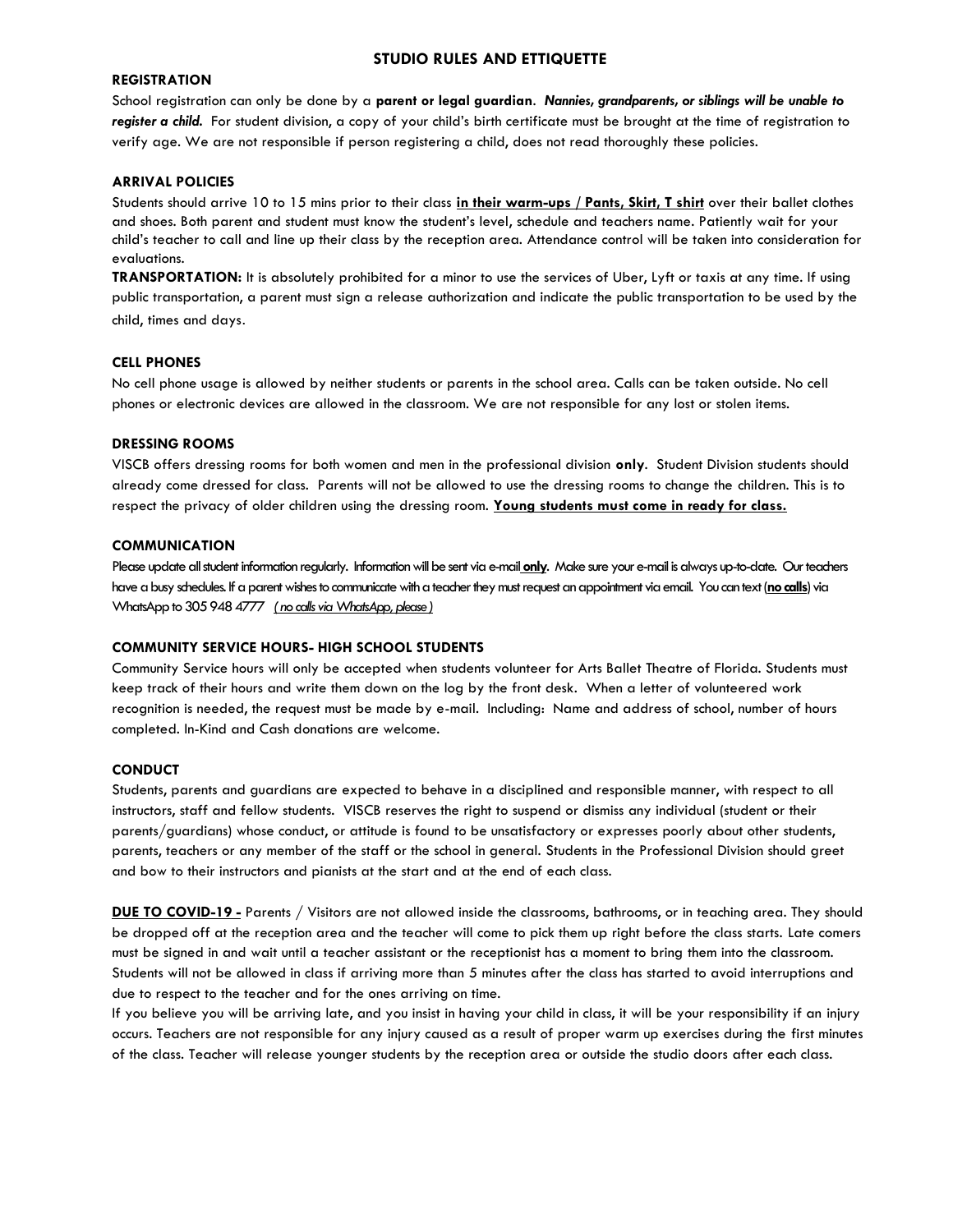# **STUDIO RULES AND ETTIQUETTE**

#### **REGISTRATION**

School registration can only be done by a **parent or legal guardian**. *Nannies, grandparents, or siblings will be unable to register a child.* For student division, a copy of your child's birth certificate must be brought at the time of registration to verify age. We are not responsible if person registering a child, does not read thoroughly these policies.

### **ARRIVAL POLICIES**

Students should arrive 10 to 15 mins prior to their class **in their warm-ups / Pants, Skirt, T shirt** over their ballet clothes and shoes. Both parent and student must know the student's level, schedule and teachers name. Patiently wait for your child's teacher to call and line up their class by the reception area. Attendance control will be taken into consideration for evaluations.

**TRANSPORTATION:** It is absolutely prohibited for a minor to use the services of Uber, Lyft or taxis at any time. If using public transportation, a parent must sign a release authorization and indicate the public transportation to be used by the child, times and days.

#### **CELL PHONES**

No cell phone usage is allowed by neither students or parents in the school area. Calls can be taken outside. No cell phones or electronic devices are allowed in the classroom. We are not responsible for any lost or stolen items.

#### **DRESSING ROOMS**

VISCB offers dressing rooms for both women and men in the professional division **only**. Student Division students should already come dressed for class. Parents will not be allowed to use the dressing rooms to change the children. This is to respect the privacy of older children using the dressing room. **Young students must come in ready for class.**

#### **COMMUNICATION**

Please update all student information regularly. Information will be sent via e-mail only. Make sure your e-mail is always up-to-date. Our teachers have a busy schedules. If a parent wishes to communicate with a teacher they must request an appointment via email. You can text (no calls) via WhatsApp to 305 948 4777 *( no calls via WhatsApp, please )*

#### **COMMUNITY SERVICE HOURS- HIGH SCHOOL STUDENTS**

Community Service hours will only be accepted when students volunteer for Arts Ballet Theatre of Florida. Students must keep track of their hours and write them down on the log by the front desk. When a letter of volunteered work recognition is needed, the request must be made by e-mail. Including: Name and address of school, number of hours completed. In-Kind and Cash donations are welcome.

#### **CONDUCT**

Students, parents and guardians are expected to behave in a disciplined and responsible manner, with respect to all instructors, staff and fellow students. VISCB reserves the right to suspend or dismiss any individual (student or their parents/guardians) whose conduct, or attitude is found to be unsatisfactory or expresses poorly about other students, parents, teachers or any member of the staff or the school in general. Students in the Professional Division should greet and bow to their instructors and pianists at the start and at the end of each class.

**DUE TO COVID-19 -** Parents / Visitors are not allowed inside the classrooms, bathrooms, or in teaching area. They should be dropped off at the reception area and the teacher will come to pick them up right before the class starts. Late comers must be signed in and wait until a teacher assistant or the receptionist has a moment to bring them into the classroom. Students will not be allowed in class if arriving more than 5 minutes after the class has started to avoid interruptions and due to respect to the teacher and for the ones arriving on time.

If you believe you will be arriving late, and you insist in having your child in class, it will be your responsibility if an injury occurs. Teachers are not responsible for any injury caused as a result of proper warm up exercises during the first minutes of the class. Teacher will release younger students by the reception area or outside the studio doors after each class.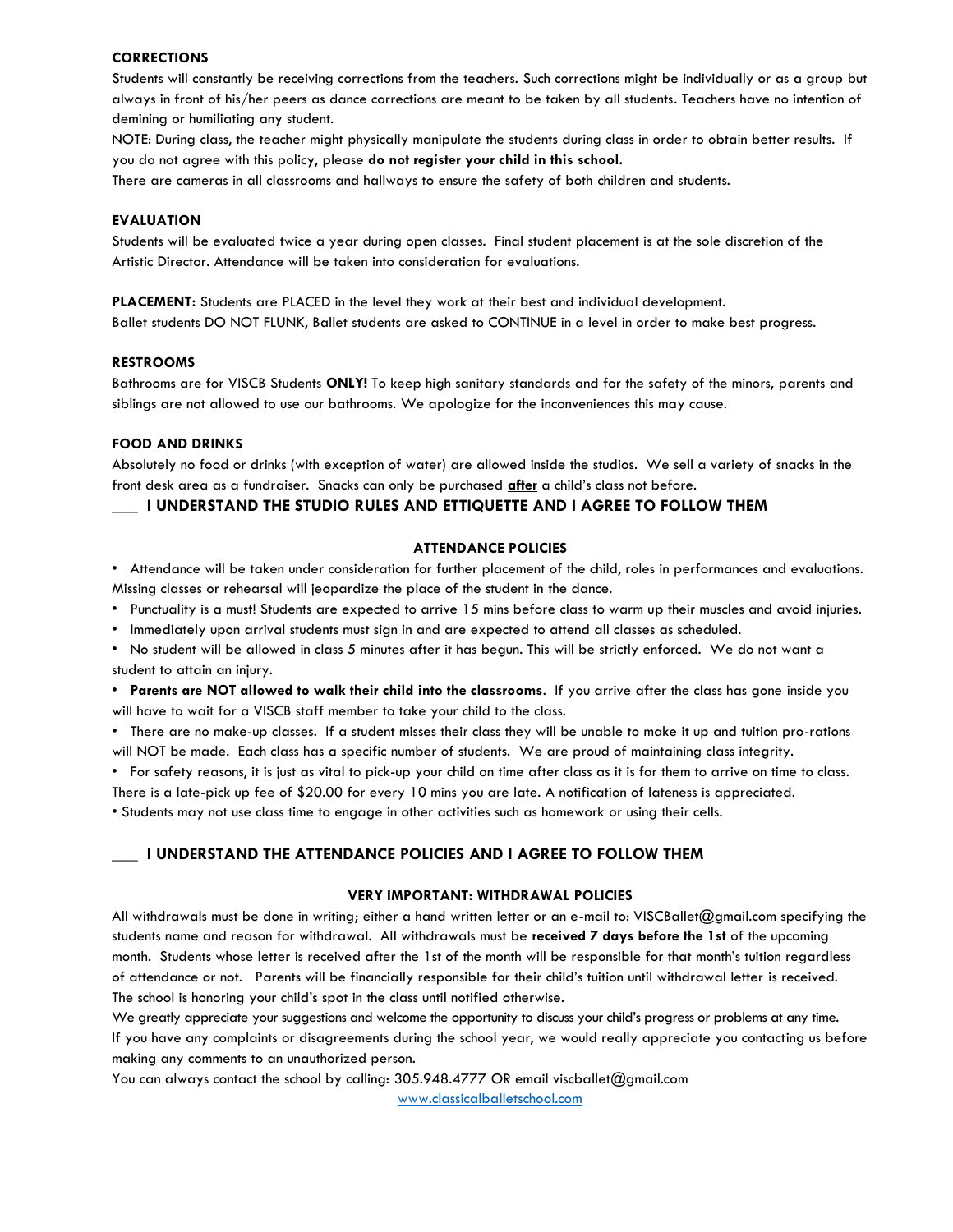#### **CORRECTIONS**

Students will constantly be receiving corrections from the teachers. Such corrections might be individually or as a group but always in front of his/her peers as dance corrections are meant to be taken by all students. Teachers have no intention of demining or humiliating any student.

NOTE: During class, the teacher might physically manipulate the students during class in order to obtain better results. If you do not agree with this policy, please **do not register your child in this school.**

There are cameras in all classrooms and hallways to ensure the safety of both children and students.

#### **EVALUATION**

Students will be evaluated twice a year during open classes. Final student placement is at the sole discretion of the Artistic Director. Attendance will be taken into consideration for evaluations.

**PLACEMENT:** Students are PLACED in the level they work at their best and individual development. Ballet students DO NOT FLUNK, Ballet students are asked to CONTINUE in a level in order to make best progress.

#### **RESTROOMS**

Bathrooms are for VISCB Students **ONLY!** To keep high sanitary standards and for the safety of the minors, parents and siblings are not allowed to use our bathrooms. We apologize for the inconveniences this may cause.

#### **FOOD AND DRINKS**

Absolutely no food or drinks (with exception of water) are allowed inside the studios. We sell a variety of snacks in the front desk area as a fundraiser. Snacks can only be purchased **after** a child's class not before.

## **\_\_\_ I UNDERSTAND THE STUDIO RULES AND ETTIQUETTE AND I AGREE TO FOLLOW THEM**

#### **ATTENDANCE POLICIES**

• Attendance will be taken under consideration for further placement of the child, roles in performances and evaluations. Missing classes or rehearsal will jeopardize the place of the student in the dance.

- Punctuality is a must! Students are expected to arrive 15 mins before class to warm up their muscles and avoid injuries.
- Immediately upon arrival students must sign in and are expected to attend all classes as scheduled.
- No student will be allowed in class 5 minutes after it has begun. This will be strictly enforced. We do not want a student to attain an injury.
- **Parents are NOT allowed to walk their child into the classrooms**. If you arrive after the class has gone inside you will have to wait for a VISCB staff member to take your child to the class.

• There are no make-up classes. If a student misses their class they will be unable to make it up and tuition pro-rations will NOT be made. Each class has a specific number of students. We are proud of maintaining class integrity.

• For safety reasons, it is just as vital to pick-up your child on time after class as it is for them to arrive on time to class.

There is a late-pick up fee of \$20.00 for every 10 mins you are late. A notification of lateness is appreciated.

• Students may not use class time to engage in other activities such as homework or using their cells.

### **\_\_\_ I UNDERSTAND THE ATTENDANCE POLICIES AND I AGREE TO FOLLOW THEM**

#### **VERY IMPORTANT: WITHDRAWAL POLICIES**

All withdrawals must be done in writing; either a hand written letter or an e-mail to: VISCBallet@gmail.com specifying the students name and reason for withdrawal. All withdrawals must be **received 7 days before the 1st** of the upcoming month. Students whose letter is received after the 1st of the month will be responsible for that month's tuition regardless of attendance or not. Parents will be financially responsible for their child's tuition until withdrawal letter is received. The school is honoring your child's spot in the class until notified otherwise.

We greatly appreciate your suggestions and welcome the opportunity to discuss your child's progress or problems at any time. If you have any complaints or disagreements during the school year, we would really appreciate you contacting us before making any comments to an unauthorized person.

You can always contact the school by calling: 305.948.4777 OR email viscballet@gmail.com [www.classicalballetschool.com](http://www.classicalballetschool.com/)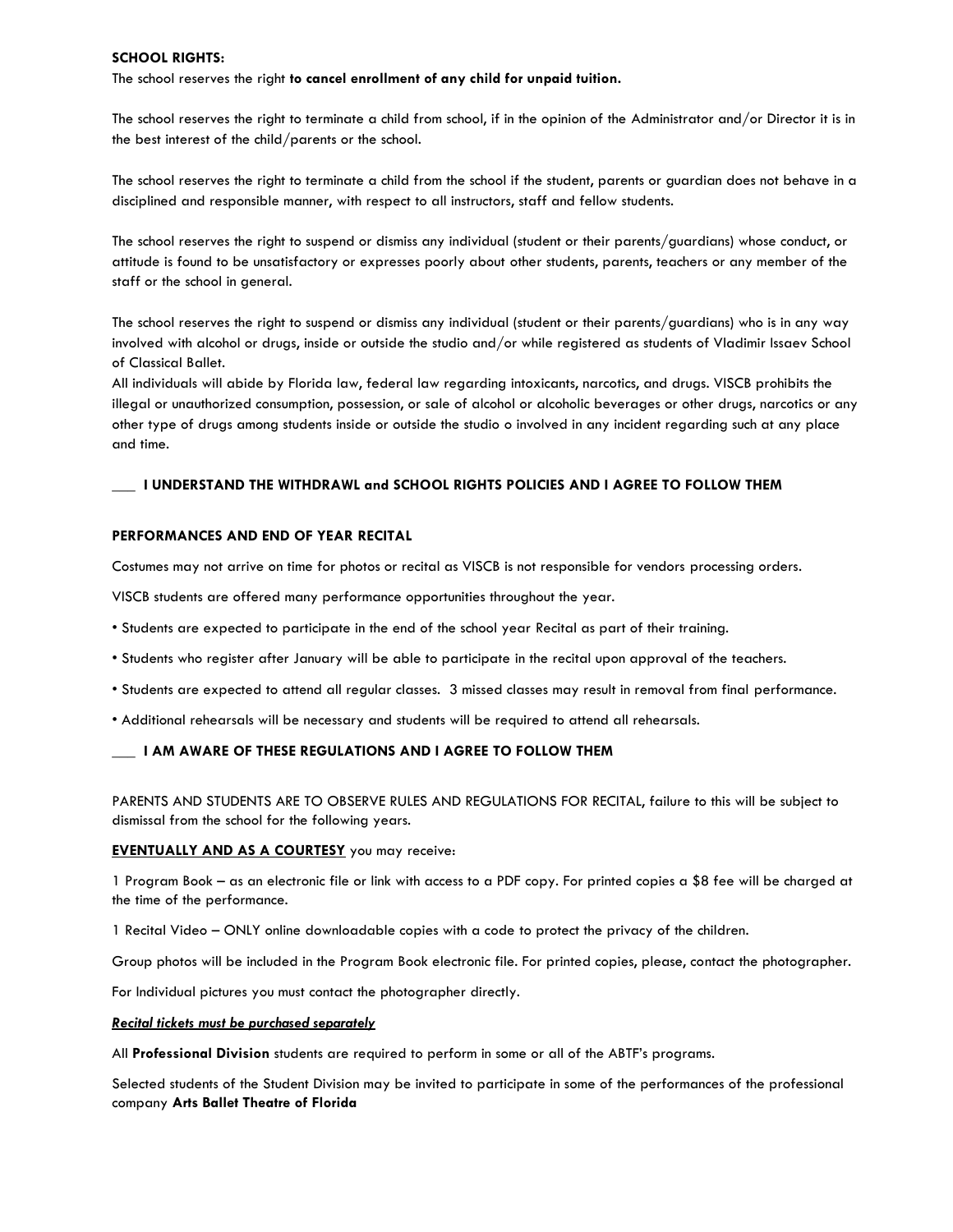#### **SCHOOL RIGHTS:**

The school reserves the right **to cancel enrollment of any child for unpaid tuition.**

The school reserves the right to terminate a child from school, if in the opinion of the Administrator and/or Director it is in the best interest of the child/parents or the school.

The school reserves the right to terminate a child from the school if the student, parents or guardian does not behave in a disciplined and responsible manner, with respect to all instructors, staff and fellow students.

The school reserves the right to suspend or dismiss any individual (student or their parents/guardians) whose conduct, or attitude is found to be unsatisfactory or expresses poorly about other students, parents, teachers or any member of the staff or the school in general.

The school reserves the right to suspend or dismiss any individual (student or their parents/guardians) who is in any way involved with alcohol or drugs, inside or outside the studio and/or while registered as students of Vladimir Issaev School of Classical Ballet.

All individuals will abide by Florida law, federal law regarding intoxicants, narcotics, and drugs. VISCB prohibits the illegal or unauthorized consumption, possession, or sale of alcohol or alcoholic beverages or other drugs, narcotics or any other type of drugs among students inside or outside the studio o involved in any incident regarding such at any place and time.

#### **\_\_\_ I UNDERSTAND THE WITHDRAWL and SCHOOL RIGHTS POLICIES AND I AGREE TO FOLLOW THEM**

#### **PERFORMANCES AND END OF YEAR RECITAL**

Costumes may not arrive on time for photos or recital as VISCB is not responsible for vendors processing orders.

VISCB students are offered many performance opportunities throughout the year.

- Students are expected to participate in the end of the school year Recital as part of their training.
- Students who register after January will be able to participate in the recital upon approval of the teachers.
- Students are expected to attend all regular classes. 3 missed classes may result in removal from final performance.
- Additional rehearsals will be necessary and students will be required to attend all rehearsals.

#### **\_\_\_ I AM AWARE OF THESE REGULATIONS AND I AGREE TO FOLLOW THEM**

PARENTS AND STUDENTS ARE TO OBSERVE RULES AND REGULATIONS FOR RECITAL, failure to this will be subject to dismissal from the school for the following years.

#### **EVENTUALLY AND AS A COURTESY** you may receive:

1 Program Book – as an electronic file or link with access to a PDF copy. For printed copies a \$8 fee will be charged at the time of the performance.

1 Recital Video – ONLY online downloadable copies with a code to protect the privacy of the children.

Group photos will be included in the Program Book electronic file. For printed copies, please, contact the photographer.

For Individual pictures you must contact the photographer directly.

#### *Recital tickets must be purchased separately*

All **Professional Division** students are required to perform in some or all of the ABTF's programs.

Selected students of the Student Division may be invited to participate in some of the performances of the professional company **Arts Ballet Theatre of Florida**